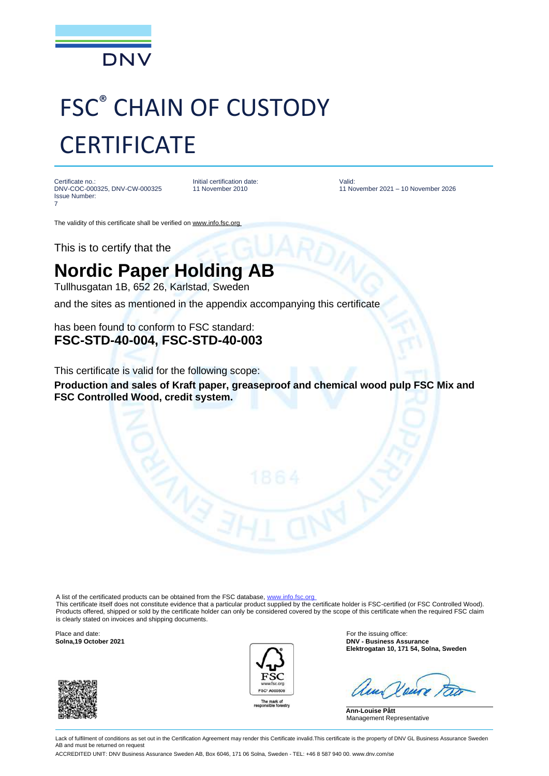

## FSC® CHAIN OF CUSTODY **CERTIFICATE**

Certificate no.: DNV-COC-000325, DNV-CW-000325 Issue Number: 7

Initial certification date: 11 November 2010

Valid: 11 November 2021 – 10 November 2026

The validity of this certificate shall be verified on www.info.fsc.org

This is to certify that the

## **Nordic Paper Holding AB**

Tullhusgatan 1B, 652 26, Karlstad, Sweden

and the sites as mentioned in the appendix accompanying this certificate

has been found to conform to FSC standard: **FSC-STD-40-004, FSC-STD-40-003**

This certificate is valid for the following scope:

**Production and sales of Kraft paper, greaseproof and chemical wood pulp FSC Mix and FSC Controlled Wood, credit system.**

A list of the certificated products can be obtained from the FSC database, www.info.fsc.org

This certificate itself does not constitute evidence that a particular product supplied by the certificate holder is FSC-certified (or FSC Controlled Wood). Products offered, shipped or sold by the certificate holder can only be considered covered by the scope of this certificate when the required FSC claim is clearly stated on invoices and shipping documents.

Place and date: For the issuing office:





**Solna,19 October 2021 DNV - Business Assurance Elektrogatan 10, 171 54, Solna, Sweden**

**Ann-Louise Pått** Management Representative

Lack of fulfilment of conditions as set out in the Certification Agreement may render this Certificate invalid. This certificate is the property of DNV GL Business Assurance Sweden AB and must be returned on request

ACCREDITED UNIT: DNV Business Assurance Sweden AB, Box 6046, 171 06 Solna, Sweden - TEL: +46 8 587 940 00. www.dnv.com/se